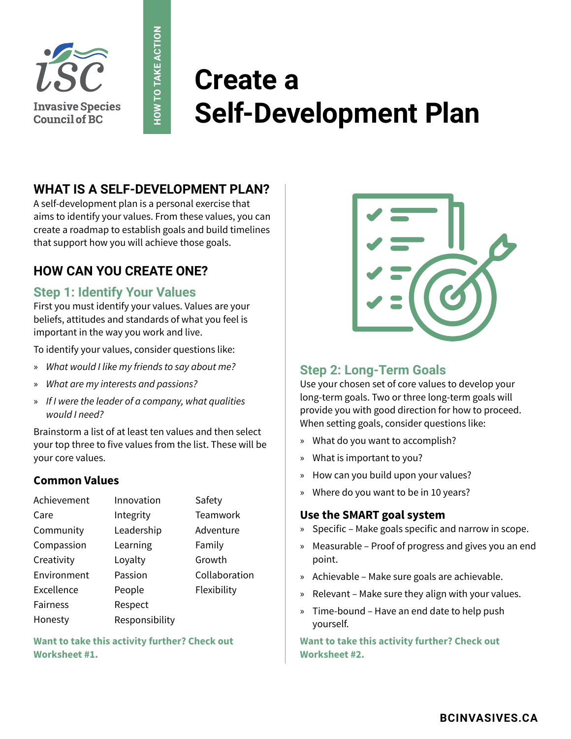

# **Create a Self-Development Plan**

# **WHAT IS A SELF-DEVELOPMENT PLAN?**

**HOW TO TAKE ACTION**

**HOW TO TAKE ACTION** 

A self-development plan is a personal exercise that aims to identify your values. From these values, you can create a roadmap to establish goals and build timelines that support how you will achieve those goals.

# **HOW CAN YOU CREATE ONE?**

### **Step 1: Identify Your Values**

First you must identify your values. Values are your beliefs, attitudes and standards of what you feel is important in the way you work and live.

To identify your values, consider questions like:

- » *What would I like my friends to say about me?*
- » *What are my interests and passions?*
- » *If I were the leader of a company, what qualities would I need?*

Brainstorm a list of at least ten values and then select your top three to five values from the list. These will be your core values.

#### **Common Values**

| Achievement     | Innovation     | Safety        |
|-----------------|----------------|---------------|
| Care            | Integrity      | Teamwork      |
| Community       | Leadership     | Adventure     |
| Compassion      | Learning       | Family        |
| Creativity      | Loyalty        | Growth        |
| Environment     | Passion        | Collaboration |
| Excellence      | People         | Flexibility   |
| <b>Fairness</b> | Respect        |               |
| Honesty         | Responsibility |               |

**Want to take this activity further? Check out Worksheet #1.**



# **Step 2: Long-Term Goals**

Use your chosen set of core values to develop your long-term goals. Two or three long-term goals will provide you with good direction for how to proceed. When setting goals, consider questions like:

- » What do you want to accomplish?
- » What is important to you?
- » How can you build upon your values?
- » Where do you want to be in 10 years?

#### **Use the SMART goal system**

- » Specific Make goals specific and narrow in scope.
- » Measurable Proof of progress and gives you an end point.
- » Achievable Make sure goals are achievable.
- » Relevant Make sure they align with your values.
- » Time-bound Have an end date to help push yourself.

**Want to take this activity further? Check out Worksheet #2.**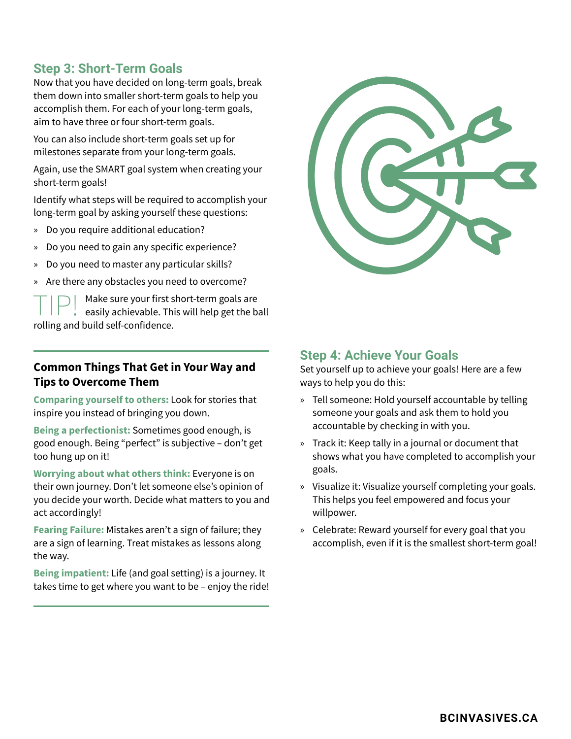## **Step 3: Short-Term Goals**

Now that you have decided on long-term goals, break them down into smaller short-term goals to help you accomplish them. For each of your long-term goals, aim to have three or four short-term goals.

You can also include short-term goals set up for milestones separate from your long-term goals.

Again, use the SMART goal system when creating your short-term goals!

Identify what steps will be required to accomplish your long-term goal by asking yourself these questions:

- » Do you require additional education?
- » Do you need to gain any specific experience?
- » Do you need to master any particular skills?
- » Are there any obstacles you need to overcome?

 $\boxed{\fbox{}}$   $\fbox{}}$   $\fbox{}}$   $\fbox{}}$   $\fbox{}}$   $\fbox{}}$   $\fbox{}}$   $\fbox{}}$   $\fbox{}}$   $\fbox{}}$   $\fbox{}}$   $\fbox{}}$   $\fbox{}}$ rolling and build self-confidence.

#### **Common Things That Get in Your Way and Tips to Overcome Them**

**Comparing yourself to others:** Look for stories that inspire you instead of bringing you down.

**Being a perfectionist:** Sometimes good enough, is good enough. Being "perfect" is subjective – don't get too hung up on it!

**Worrying about what others think:** Everyone is on their own journey. Don't let someone else's opinion of you decide your worth. Decide what matters to you and act accordingly!

**Fearing Failure:** Mistakes aren't a sign of failure; they are a sign of learning. Treat mistakes as lessons along the way.

**Being impatient:** Life (and goal setting) is a journey. It takes time to get where you want to be – enjoy the ride!



#### **Step 4: Achieve Your Goals**

Set yourself up to achieve your goals! Here are a few ways to help you do this:

- » Tell someone: Hold yourself accountable by telling someone your goals and ask them to hold you accountable by checking in with you.
- » Track it: Keep tally in a journal or document that shows what you have completed to accomplish your goals.
- » Visualize it: Visualize yourself completing your goals. This helps you feel empowered and focus your willpower.
- » Celebrate: Reward yourself for every goal that you accomplish, even if it is the smallest short-term goal!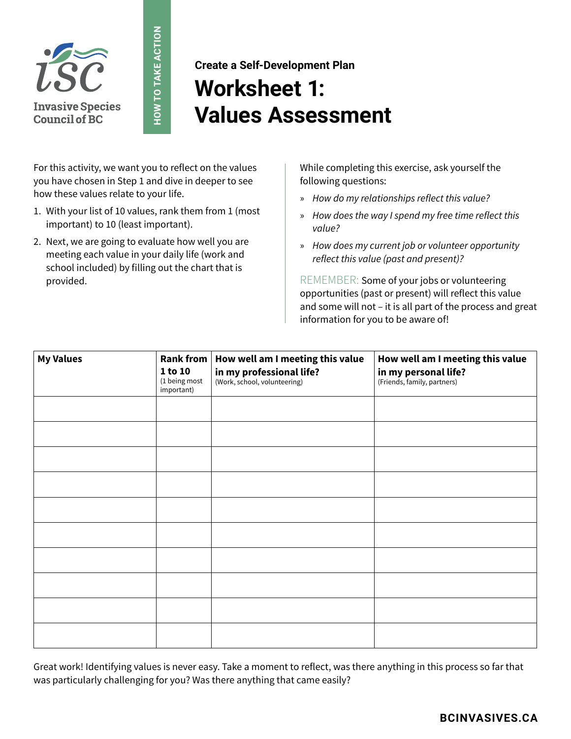

**Create a Self-Development Plan Worksheet 1: Values Assessment**

For this activity, we want you to reflect on the values you have chosen in Step 1 and dive in deeper to see how these values relate to your life.

**HOW TO TAKE ACTION**

**HOW TO TAKE ACTION** 

- 1. With your list of 10 values, rank them from 1 (most important) to 10 (least important).
- 2. Next, we are going to evaluate how well you are meeting each value in your daily life (work and school included) by filling out the chart that is provided.

While completing this exercise, ask yourself the following questions:

- » How do my relationships reflect this value?
- » How does the way I spend my free time reflect this value?
- » How does my current job or volunteer opportunity reflect this value (past and present)?

REMEMBER: Some of your jobs or volunteering opportunities (past or present) will reflect this value and some will not – it is all part of the process and great information for you to be aware of!

| <b>My Values</b> | Rank from<br>1 to 10<br>(1 being most<br>important) | How well am I meeting this value<br>in my professional life?<br>(Work, school, volunteering) | How well am I meeting this value<br>in my personal life?<br>(Friends, family, partners) |
|------------------|-----------------------------------------------------|----------------------------------------------------------------------------------------------|-----------------------------------------------------------------------------------------|
|                  |                                                     |                                                                                              |                                                                                         |
|                  |                                                     |                                                                                              |                                                                                         |
|                  |                                                     |                                                                                              |                                                                                         |
|                  |                                                     |                                                                                              |                                                                                         |
|                  |                                                     |                                                                                              |                                                                                         |
|                  |                                                     |                                                                                              |                                                                                         |
|                  |                                                     |                                                                                              |                                                                                         |
|                  |                                                     |                                                                                              |                                                                                         |
|                  |                                                     |                                                                                              |                                                                                         |
|                  |                                                     |                                                                                              |                                                                                         |

Great work! Identifying values is never easy. Take a moment to reflect, was there anything in this process so far that was particularly challenging for you? Was there anything that came easily?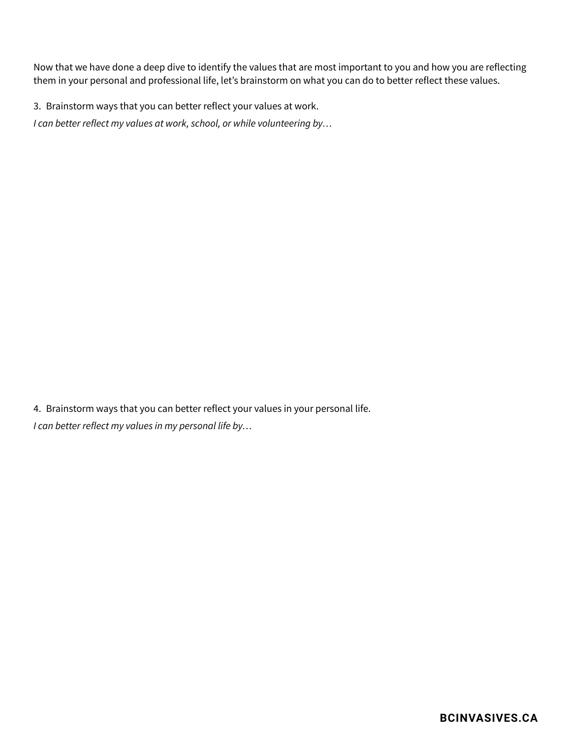Now that we have done a deep dive to identify the values that are most important to you and how you are reflecting them in your personal and professional life, let's brainstorm on what you can do to better reflect these values.

3. Brainstorm ways that you can better reflect your values at work.

I can better reflect my values at work, school, or while volunteering by…

4. Brainstorm ways that you can better reflect your values in your personal life. I can better reflect my values in my personal life by…